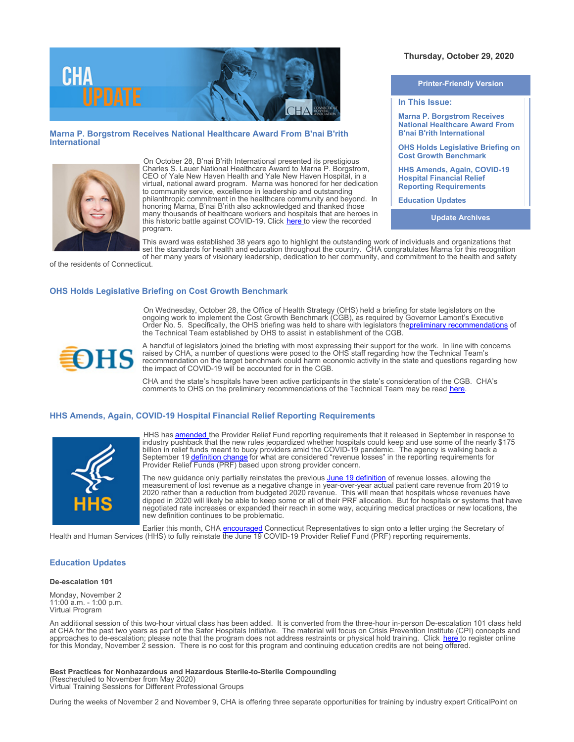

### **Marna P. Borgstrom Receives National Healthcare Award From B'nai B'rith International**



On October 28, B'nai B'rith International presented its prestigious Charles S. Lauer National Healthcare Award to Marna P. Borgstrom, CEO of Yale New Haven Health and Yale New Haven Hospital, in a virtual, national award program. Marna was honored for her dedication to community service, excellence in leadership and outstanding philanthropic commitment in the healthcare community and beyond. In honoring Marna, B'nai B'rith also acknowledged and thanked those many thousands of healthcare workers and hospitals that are heroes in this historic battle against COVID-19. Click [here](https://www.bnaibrith.org/healthcareaward.html) to view the recorded program.

# **Thursday, October 29, 2020**

**Printer-Friendly Version**

**In This Issue:**

**Marna P. Borgstrom Receives National Healthcare Award From B'nai B'rith International**

**OHS Holds Legislative Briefing on Cost Growth Benchmark**

**HHS Amends, Again, COVID-19 Hospital Financial Relief Reporting Requirements** 

**Education Updates**

**Update Archives**

This award was established 38 years ago to highlight the outstanding work of individuals and organizations that set the standards for health and education throughout the country. CHA congratulates Marna for this recognition of her many years of visionary leadership, dedication to her community, and commitment to the health and safety

of the residents of Connecticut.

## **OHS Holds Legislative Briefing on Cost Growth Benchmark**

On Wednesday, October 28, the Office of Health Strategy (OHS) held a briefing for state legislators on the ongoing work to implement the Cost Growth Benchmark (CGB), as required by Governor Lamont's Executive Order No. 5. Specifically, the OHS briefing was held to share with legislators the<u>preliminary recommendations</u> of the Technical Team established by OHS to assist in establishment of the CGB.



A handful of legislators joined the briefing with most expressing their support for the work. In line with concerns raised by CHA, a number of questions were posed to the OHS staff regarding how the Technical Team's recommendation on the target benchmark could harm economic activity in the state and questions regarding how the impact of COVID-19 will be accounted for in the CGB.

CHA and the state's hospitals have been active participants in the state's consideration of the CGB. CHA's comments to OHS on the preliminary recommendations of the Technical Team may be read [here](https://documents.cthosp.org/9/Lori/CGB%20Preliminary%20Recommendations%20CHA%20Letter%20%28final%29%2010.15.2020.pdf).

#### **HHS Amends, Again, COVID-19 Hospital Financial Relief Reporting Requirements**



HHS has **amended** the Provider Relief Fund reporting requirements that it released in September in response to industry pushback that the new rules jeopardized whether hospitals could keep and use some of the nearly \$175 billion in relief funds meant to buoy providers amid the COVID-19 pandemic. The agency is walking back a September 19 [definition change](https://www.hhs.gov/sites/default/files/post-payment-notice-of-reporting-requirements.pdf) for what are considered "revenue losses" in the reporting requirements for Provider Relief Funds (PRF) based upon strong provider concern.

The new guidance only partially reinstates the previous [June 19 definition](https://www.hhs.gov/sites/default/files/provider-relief-fund-general-distribution-faqs.pdf) of revenue losses, allowing the measurement of lost revenue as a negative change in year-over-year actual patient care revenue from 2019 to 2020 rather than a reduction from budgeted 2020 revenue. This will mean that hospitals whose revenues have dipped in 2020 will likely be able to keep some or all of their PRF allocation. But for hospitals or systems that have negotiated rate increases or expanded their reach in some way, acquiring medical practices or new locations, the new definition continues to be problematic.

Earlier this month, CHA **[encouraged](https://documents.cthosp.org/9/Becky/HHSEmail101920.pdf)** Connecticut Representatives to sign onto a letter urging the Secretary of Health and Human Services (HHS) to fully reinstate the June 19 COVID-19 Provider Relief Fund (PRF) reporting requirements.

#### **Education Updates**

#### **De-escalation 101**

Monday, November 2 11:00 a.m. - 1:00 p.m. Virtual Program

An additional session of this two-hour virtual class has been added. It is converted from the three-hour in-person De-escalation 101 class held at CHA for the past two years as part of the Safer Hospitals Initiative. The material will focus on Crisis Prevention Institute (CPI) concepts and approaches to de-escalation; please note that the program does not address restraints or physical hold training. Click [here](https://cthosp.org/eventcalendar/index.cfm?action=register&date=44137&id=895) to register online for this Monday, November 2 session. There is no cost for this program and continuing education credits are not being offered.

**Best Practices for Nonhazardous and Hazardous Sterile-to-Sterile Compounding** (Rescheduled to November from May 2020) Virtual Training Sessions for Different Professional Groups

During the weeks of November 2 and November 9, CHA is offering three separate opportunities for training by industry expert CriticalPoint on